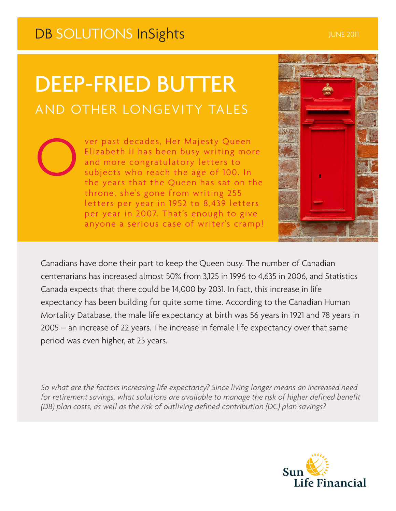## DB SOLUTIONS InSights **International Contract Contract Contract Contract Contract Contract Contract Contract Contract Contract Contract Contract Contract Contract Contract Contract Contract Contract Contract Contract Contr**

O

# DEEP-FRIED BUTTER AND OTHER LONGEVITY TALES

ver past decades, Her Majesty Queen Elizabeth II has been busy writing more and more congratulatory letters to subjects who reach the age of 100. In the years that the Queen has sat on the throne, she's gone from writing 255 letters per year in 1952 to 8,439 letters per year in 2007. That's enough to give anyone a serious case of writer's cramp!



Canadians have done their part to keep the Queen busy. The number of Canadian centenarians has increased almost 50% from 3,125 in 1996 to 4,635 in 2006, and Statistics Canada expects that there could be 14,000 by 2031. In fact, this increase in life expectancy has been building for quite some time. According to the Canadian Human Mortality Database, the male life expectancy at birth was 56 years in 1921 and 78 years in 2005 – an increase of 22 years. The increase in female life expectancy over that same period was even higher, at 25 years.

*So what are the factors increasing life expectancy? Since living longer means an increased need for retirement savings, what solutions are available to manage the risk of higher defined benefit (DB) plan costs, as well as the risk of outliving defined contribution (DC) plan savings?*

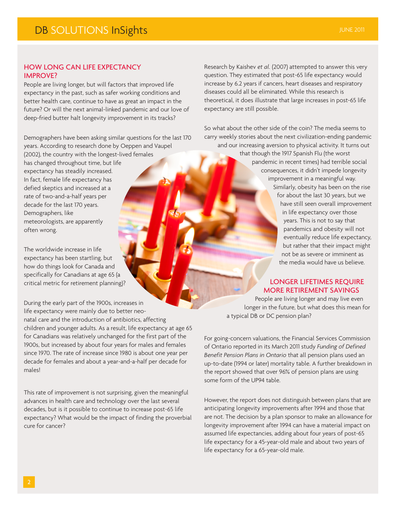### HOW LONG CAN LIFE EXPECTANCY IMPROVE?

People are living longer, but will factors that improved life expectancy in the past, such as safer working conditions and better health care, continue to have as great an impact in the future? Or will the next animal-linked pandemic and our love of deep-fried butter halt longevity improvement in its tracks?

Demographers have been asking similar questions for the last 170 years. According to research done by Oeppen and Vaupel

(2002), the country with the longest-lived females has changed throughout time, but life expectancy has steadily increased. In fact, female life expectancy has defied skeptics and increased at a rate of two-and-a-half years per decade for the last 170 years. Demographers, like meteorologists, are apparently often wrong.

The worldwide increase in life expectancy has been startling, but how do things look for Canada and specifically for Canadians at age 65 (a critical metric for retirement planning)?

During the early part of the 1900s, increases in life expectancy were mainly due to better neonatal care and the introduction of antibiotics, affecting children and younger adults. As a result, life expectancy at age 65 for Canadians was relatively unchanged for the first part of the 1900s, but increased by about four years for males and females since 1970. The rate of increase since 1980 is about one year per decade for females and about a year-and-a-half per decade for males!

This rate of improvement is not surprising, given the meaningful advances in health care and technology over the last several decades, but is it possible to continue to increase post-65 life expectancy? What would be the impact of finding the proverbial cure for cancer?

Research by Kaishev *et al.* (2007) attempted to answer this very question. They estimated that post-65 life expectancy would increase by 6.2 years if cancers, heart diseases and respiratory diseases could all be eliminated. While this research is theoretical, it does illustrate that large increases in post-65 life expectancy are still possible.

So what about the other side of the coin? The media seems to carry weekly stories about the next civilization-ending pandemic and our increasing aversion to physical activity. It turns out

that though the 1917 Spanish Flu (the worst pandemic in recent times) had terrible social consequences, it didn't impede longevity improvement in a meaningful way. Similarly, obesity has been on the rise for about the last 30 years, but we have still seen overall improvement in life expectancy over those years. This is not to say that pandemics and obesity will not eventually reduce life expectancy, but rather that their impact might not be as severe or imminent as the media would have us believe.

### LONGER LIFETIMES REQUIRE MORE RETIREMENT SAVINGS

People are living longer and may live even longer in the future, but what does this mean for a typical DB or DC pension plan?

For going-concern valuations, the Financial Services Commission of Ontario reported in its March 2011 study *Funding of Defined Benefit Pension Plans in Ontario* that all pension plans used an up-to-date (1994 or later) mortality table. A further breakdown in the report showed that over 96% of pension plans are using some form of the UP94 table.

However, the report does not distinguish between plans that are anticipating longevity improvements after 1994 and those that are not. The decision by a plan sponsor to make an allowance for longevity improvement after 1994 can have a material impact on assumed life expectancies, adding about four years of post-65 life expectancy for a 45-year-old male and about two years of life expectancy for a 65-year-old male.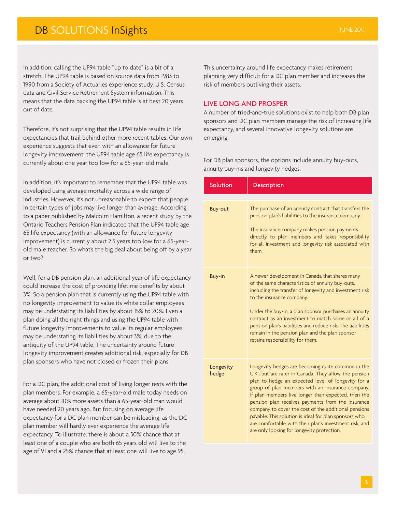### **DB SOLUTIONS InSights JUNE 2011**

In addition, calling the UP94 table "up to date" is a bit of a stretch. The UP94 table is based on source data from 1983 to 1990 from a Society of Actuaries experience study, U.S. Census data and Civil Service Retirement System information. This means that the data backing the UP94 table is at best 20 years out of date.

Therefore, it's not surprising that the UP94 table results in life expectancies that trail behind other more recent tables. Our own experience suggests that even with an allowance for future longevity improvement, the UP94 table age 65 life expectancy is currently about one year too low for a 65-year-old male.

In addition, it's important to remember that the UP94 table was developed using average mortality across a wide range of industries. However, it's not unreasonable to expect that people in certain types of jobs may live longer than average. According to a paper published by Malcolm Hamilton, a recent study by the Ontario Teachers Pension Plan indicated that the UP94 table age 65 life expectancy (with an allowance for future longevity improvement) is currently about 2.5 years too low for a 65-yearold male teacher. So what's the big deal about being off by a year or two?

Well, for a DB pension plan, an additional year of life expectancy could increase the cost of providing lifetime benefits by about 3%. So a pension plan that is currently using the UP94 table with no longevity improvement to value its white collar employees may be understating its liabilities by about 15% to 20%. Even a plan doing all the right things and using the UP94 table with future longevity improvements to value its regular employees may be understating its liabilities by about 3%, due to the antiquity of the UP94 table. The uncertainty around future longevity improvement creates additional risk, especially for DB plan sponsors who have not closed or frozen their plans.

For a DC plan, the additional cost of living longer rests with the plan members. For example, a 65-year-old male today needs on average about 10% more assets than a 65-year-old man would have needed 20 years ago. But focusing on average life expectancy for a DC plan member can be misleading, as the DC plan member will hardly ever experience the average life expectancy. To illustrate, there is about a 50% chance that at least one of a couple who are both 65 years old will live to the age of 91 and a 25% chance that at least one will live to age 95.

This uncertainty around life expectancy makes retirement planning very difficult for a DC plan member and increases the risk of members outliving their assets.

### LIVE LONG AND PROSPER

A number of tried-and-true solutions exist to help both DB plan sponsors and DC plan members manage the risk of increasing life expectancy, and several innovative longevity solutions are emerging.

For DB plan sponsors, the options include annuity buy-outs, annuity buy-ins and longevity hedges.

| Solution           | Description                                                                                                                                                                                                                                                                                                                                                                                                                                                                                                                                               |
|--------------------|-----------------------------------------------------------------------------------------------------------------------------------------------------------------------------------------------------------------------------------------------------------------------------------------------------------------------------------------------------------------------------------------------------------------------------------------------------------------------------------------------------------------------------------------------------------|
|                    |                                                                                                                                                                                                                                                                                                                                                                                                                                                                                                                                                           |
| <b>Buy-out</b>     | The purchase of an annuity contract that transfers the<br>pension plan's liabilities to the insurance company.<br>The insurance company makes pension payments<br>directly to plan members and takes responsibility<br>for all investment and longevity risk associated with<br>them.                                                                                                                                                                                                                                                                     |
| Buy-in             | A newer development in Canada that shares many<br>of the same characteristics of annuity buy-outs,<br>including the transfer of longevity and investment risk<br>to the insurance company.<br>Under the buy-in, a plan sponsor purchases an annuity<br>contract as an investment to match some or all of a<br>pension plan's liabilities and reduce risk. The liabilities<br>remain in the pension plan and the plan sponsor<br>retains responsibility for them.                                                                                          |
| Longevity<br>hedge | Longevity hedges are becoming quite common in the<br>U.K., but are rarer in Canada. They allow the pension<br>plan to hedge an expected level of longevity for a<br>group of plan members with an insurance company.<br>If plan members live longer than expected, then the<br>pension plan receives payments from the insurance<br>company to cover the cost of the additional pensions<br>payable. This solution is ideal for plan sponsors who<br>are comfortable with their plan's investment risk, and<br>are only looking for longevity protection. |